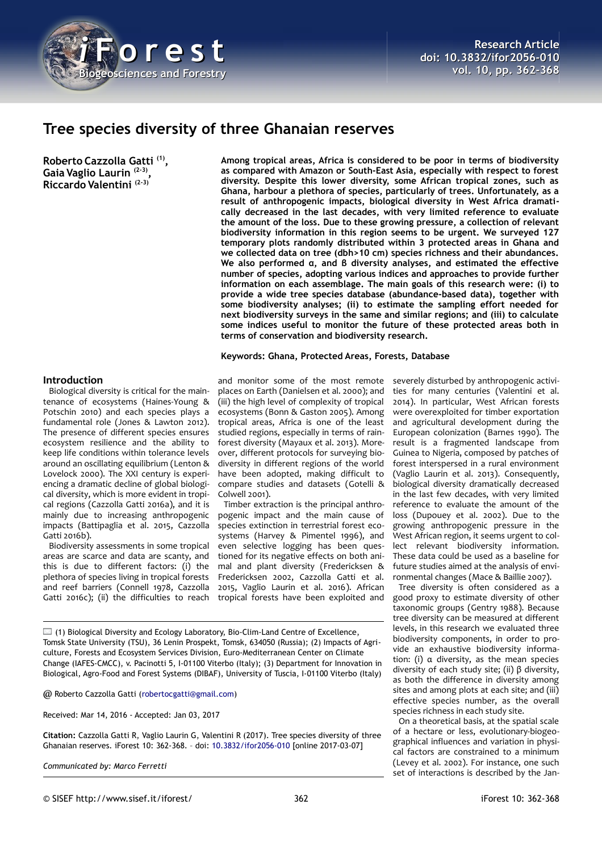

# **Tree species diversity of three Ghanaian reserves**

**Roberto Cazzolla Gatti (1) , Gaia Vaglio Laurin (2-3) , Riccardo Valentini (2-3)**

**Among tropical areas, Africa is considered to be poor in terms of biodiversity as compared with Amazon or South-East Asia, especially with respect to forest diversity. Despite this lower diversity, some African tropical zones, such as Ghana, harbour a plethora of species, particularly of trees. Unfortunately, as a result of anthropogenic impacts, biological diversity in West Africa dramatically decreased in the last decades, with very limited reference to evaluate the amount of the loss. Due to these growing pressure, a collection of relevant biodiversity information in this region seems to be urgent. We surveyed 127 temporary plots randomly distributed within 3 protected areas in Ghana and we collected data on tree (dbh>10 cm) species richness and their abundances. We also performed α, and β diversity analyses, and estimated the effective number of species, adopting various indices and approaches to provide further information on each assemblage. The main goals of this research were: (i) to provide a wide tree species database (abundance-based data), together with some biodiversity analyses; (ii) to estimate the sampling effort needed for next biodiversity surveys in the same and similar regions; and (iii) to calculate some indices useful to monitor the future of these protected areas both in terms of conservation and biodiversity research.**

#### **Keywords: Ghana, Protected Areas, Forests, Database**

# **Introduction**

Biological diversity is critical for the maintenance of ecosystems (Haines-Young & Potschin 2010) and each species plays a fundamental role (Jones & Lawton 2012). The presence of different species ensures ecosystem resilience and the ability to keep life conditions within tolerance levels around an oscillating equilibrium (Lenton & Lovelock 2000). The XXI century is experiencing a dramatic decline of global biological diversity, which is more evident in tropical regions (Cazzolla Gatti 2016a), and it is mainly due to increasing anthropogenic impacts (Battipaglia et al. 2015, Cazzolla Gatti 2016b).

Biodiversity assessments in some tropical areas are scarce and data are scanty, and this is due to different factors: (i) the plethora of species living in tropical forests and reef barriers (Connell 1978, Cazzolla Gatti 2016c); (ii) the difficulties to reach

and monitor some of the most remote places on Earth (Danielsen et al. 2000); and (iii) the high level of complexity of tropical ecosystems (Bonn & Gaston 2005). Among tropical areas, Africa is one of the least studied regions, especially in terms of rainforest diversity (Mayaux et al. 2013). Moreover, different protocols for surveying biodiversity in different regions of the world have been adopted, making difficult to compare studies and datasets (Gotelli & Colwell 2001).

Timber extraction is the principal anthropogenic impact and the main cause of species extinction in terrestrial forest ecosystems (Harvey & Pimentel 1996), and even selective logging has been questioned for its negative effects on both animal and plant diversity (Fredericksen & Fredericksen 2002, Cazzolla Gatti et al. 2015, Vaglio Laurin et al. 2016). African tropical forests have been exploited and

 $\Box$  (1) Biological Diversity and Ecology Laboratory, Bio-Clim-Land Centre of Excellence, Tomsk State University (TSU), 36 Lenin Prospekt, Tomsk, 634050 (Russia); (2) Impacts of Agriculture, Forests and Ecosystem Services Division, Euro-Mediterranean Center on Climate Change (IAFES-CMCC), v. Pacinotti 5, I-01100 Viterbo (Italy); (3) Department for Innovation in Biological, Agro-Food and Forest Systems (DIBAF), University of Tuscia, I-01100 Viterbo (Italy)

@ Roberto Cazzolla Gatti [\(robertocgatti@gmail.com\)](mailto:robertocgatti@gmail.com)

Received: Mar 14, 2016 - Accepted: Jan 03, 2017

**Citation:** Cazzolla Gatti R, Vaglio Laurin G, Valentini R (2017). Tree species diversity of three Ghanaian reserves. iForest 10: 362-368. – doi: [10.3832/ifor2056-010](http://www.sisef.it/iforest/contents/?id=ifor2056-010) [online 2017-03-07]

*Communicated by: Marco Ferretti*

severely disturbed by anthropogenic activities for many centuries (Valentini et al. 2014). In particular, West African forests were overexploited for timber exportation and agricultural development during the European colonization (Barnes 1990). The result is a fragmented landscape from Guinea to Nigeria, composed by patches of forest interspersed in a rural environment (Vaglio Laurin et al. 2013). Consequently, biological diversity dramatically decreased in the last few decades, with very limited reference to evaluate the amount of the loss (Dupouey et al. 2002). Due to the growing anthropogenic pressure in the West African region, it seems urgent to collect relevant biodiversity information. These data could be used as a baseline for future studies aimed at the analysis of environmental changes (Mace & Baillie 2007).

Tree diversity is often considered as a good proxy to estimate diversity of other taxonomic groups (Gentry 1988). Because tree diversity can be measured at different levels, in this research we evaluated three biodiversity components, in order to provide an exhaustive biodiversity information: (i) α diversity, as the mean species diversity of each study site; (ii) β diversity, as both the difference in diversity among sites and among plots at each site; and (iii) effective species number, as the overall species richness in each study site.

On a theoretical basis, at the spatial scale of a hectare or less, evolutionary-biogeographical influences and variation in physical factors are constrained to a minimum (Levey et al. 2002). For instance, one such set of interactions is described by the Jan-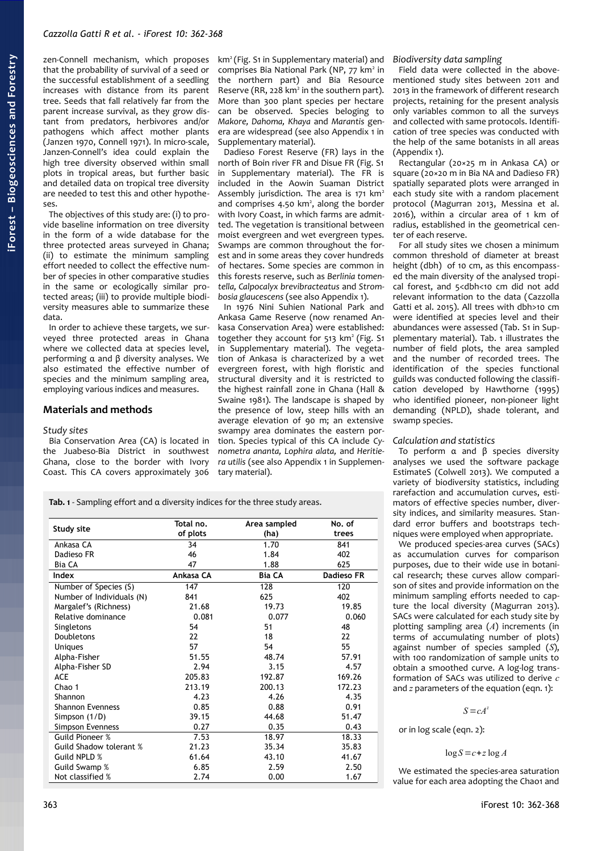zen-Connell mechanism, which proposes that the probability of survival of a seed or the successful establishment of a seedling increases with distance from its parent tree. Seeds that fall relatively far from the parent increase survival, as they grow distant from predators, herbivores and/or pathogens which affect mother plants (Janzen 1970, Connell 1971). In micro-scale, Janzen-Connell's idea could explain the high tree diversity observed within small plots in tropical areas, but further basic and detailed data on tropical tree diversity are needed to test this and other hypotheses.

The objectives of this study are: (i) to provide baseline information on tree diversity in the form of a wide database for the three protected areas surveyed in Ghana; (ii) to estimate the minimum sampling effort needed to collect the effective number of species in other comparative studies in the same or ecologically similar protected areas; (iii) to provide multiple biodiversity measures able to summarize these data.

In order to achieve these targets, we surveyed three protected areas in Ghana where we collected data at species level, performing α and β diversity analyses. We also estimated the effective number of species and the minimum sampling area, employing various indices and measures.

# **Materials and methods**

#### *Study sites*

Bia Conservation Area (CA) is located in the Juabeso-Bia District in southwest Ghana, close to the border with Ivory Coast. This CA covers approximately 306

km<sup>2</sup> (Fig. S1 in Supplementary material) and comprises Bia National Park (NP, 77 km<sup>2</sup> in the northern part) and Bia Resource Reserve (RR, 228 km<sup>2</sup> in the southern part). More than 300 plant species per hectare can be observed. Species beloging to *Makore, Dahoma, Khaya* and *Marantis* genera are widespread (see also Appendix 1 in Supplementary material).

Dadieso Forest Reserve (FR) lays in the north of Boin river FR and Disue FR (Fig. S1 in Supplementary material). The FR is included in the Aowin Suaman District Assembly jurisdiction. The area is  $171 \text{ km}^2$ and comprises  $4.50 \text{ km}^2$ , along the border with Ivory Coast, in which farms are admitted. The vegetation is transitional between moist evergreen and wet evergreen types. Swamps are common throughout the forest and in some areas they cover hundreds of hectares. Some species are common in this forests reserve, such as *Berlinia tomentella, Calpocalyx brevibracteatus* and *Strombosia glaucescens* (see also Appendix 1).

In 1976 Nini Suhien National Park and Ankasa Game Reserve (now renamed Ankasa Conservation Area) were established: together they account for  $513 \text{ km}^2$  (Fig. S1) in Supplementary material). The vegetation of Ankasa is characterized by a wet evergreen forest, with high floristic and structural diversity and it is restricted to the highest rainfall zone in Ghana (Hall & Swaine 1981). The landscape is shaped by the presence of low, steep hills with an average elevation of 90 m; an extensive swampy area dominates the eastern portion. Species typical of this CA include *Cynometra ananta, Lophira alata,* and *Heritiera utilis* (see also Appendix 1 in Supplementary material).

*Biodiversity data sampling*

Field data were collected in the abovementioned study sites between 2011 and 2013 in the framework of different research projects, retaining for the present analysis only variables common to all the surveys and collected with same protocols. Identification of tree species was conducted with the help of the same botanists in all areas (Appendix 1).

Rectangular (20×25 m in Ankasa CA) or square (20×20 m in Bia NA and Dadieso FR) spatially separated plots were arranged in each study site with a random placement protocol (Magurran 2013, Messina et al. 2016), within a circular area of 1 km of radius, established in the geometrical center of each reserve.

For all study sites we chosen a minimum common threshold of diameter at breast height (dbh) of 10 cm, as this encompassed the main diversity of the analysed tropical forest, and 5<dbh<10 cm did not add relevant information to the data (Cazzolla Gatti et al. 2015). All trees with dbh>10 cm were identified at species level and their abundances were assessed (Tab. S1 in Supplementary material). [Tab. 1](#page-1-0) illustrates the number of field plots, the area sampled and the number of recorded trees. The identification of the species functional guilds was conducted following the classification developed by Hawthorne (1995) who identified pioneer, non-pioneer light demanding (NPLD), shade tolerant, and swamp species.

#### *Calculation and statistics*

To perform α and β species diversity analyses we used the software package EstimateS (Colwell 2013). We computed a variety of biodiversity statistics, including rarefaction and accumulation curves, estimators of effective species number, diversity indices, and similarity measures. Standard error buffers and bootstraps techniques were employed when appropriate.

We produced species-area curves (SACs) as accumulation curves for comparison purposes, due to their wide use in botanical research; these curves allow comparison of sites and provide information on the minimum sampling efforts needed to capture the local diversity (Magurran 2013). SACs were calculated for each study site by plotting sampling area (*A*) increments (in terms of accumulating number of plots) against number of species sampled (*S*), with 100 randomization of sample units to obtain a smoothed curve. A log-log transformation of SACs was utilized to derive *c* and *z* parameters of the equation (eqn. 1):

#### $S = cA^z$

or in log scale (eqn. 2):

$$
\log S = c + z \log A
$$

We estimated the species-area saturation value for each area adopting the Chao1 and

<span id="page-1-0"></span>**Tab. 1** - Sampling effort and α diversity indices for the three study areas.

| Study site                     | Total no.<br>of plots | Area sampled<br>(ha) | No. of<br>trees |
|--------------------------------|-----------------------|----------------------|-----------------|
| Ankasa CA                      | 34                    | 1.70                 | 841             |
| Dadieso FR                     | 46                    | 1.84                 | 402             |
| Bia CA                         | 47                    | 1.88                 | 625             |
| Index                          | Ankasa CA             | <b>Bia CA</b>        | Dadieso FR      |
| Number of Species (S)          | 147                   | 128                  | 120             |
| Number of Individuals (N)      | 841                   | 625                  | 402             |
| Margalef's (Richness)          | 21.68                 | 19.73                | 19.85           |
| Relative dominance             | 0.081                 | 0.077                | 0.060           |
| Singletons                     | 54                    | 51                   | 48              |
| Doubletons                     | 22                    | 18                   | 22              |
| <b>Uniques</b>                 | 57                    | 54                   | 55              |
| Alpha-Fisher                   | 51.55                 | 48.74                | 57.91           |
| Alpha-Fisher SD                | 2.94                  | 3.15                 | 4.57            |
| <b>ACE</b>                     | 205.83                | 192.87               | 169.26          |
| Chao 1                         | 213.19                | 200.13               | 172.23          |
| Shannon                        | 4.23                  | 4.26                 | 4.35            |
| <b>Shannon Evenness</b>        | 0.85                  | 0.88                 | 0.91            |
| Simpson (1/D)                  | 39.15                 | 44.68                | 51.47           |
| Simpson Evenness               | 0.27                  | 0.35                 | 0.43            |
| <b>Guild Pioneer %</b>         | 7.53                  | 18.97                | 18.33           |
| <b>Guild Shadow tolerant %</b> | 21.23                 | 35.34                | 35.83           |
| Guild NPLD %                   | 61.64                 | 43.10                | 41.67           |
| Guild Swamp %                  | 6.85                  | 2.59                 | 2.50            |
| Not classified %               | 2.74                  | 0.00                 | 1.67            |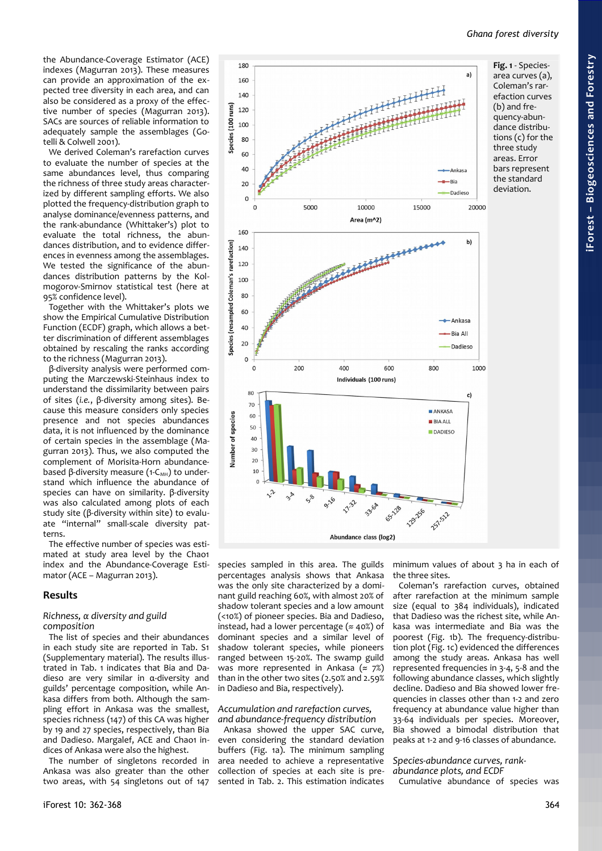a)

Ankasa

Dadiesc

-Bia All

**Dadieso** 

1000

 $\mathbf{c}$ 

20000

b)

the Abundance-Coverage Estimator (ACE) indexes (Magurran 2013). These measures can provide an approximation of the expected tree diversity in each area, and can also be considered as a proxy of the effective number of species (Magurran 2013). SACs are sources of reliable information to adequately sample the assemblages (Gotelli & Colwell 2001).

180

160  $140$ 

Species (100 runs)

We derived Coleman's rarefaction curves to evaluate the number of species at the same abundances level, thus comparing the richness of three study areas characterized by different sampling efforts. We also plotted the frequency-distribution graph to analyse dominance/evenness patterns, and the rank-abundance (Whittaker's) plot to evaluate the total richness, the abundances distribution, and to evidence differences in evenness among the assemblages. We tested the significance of the abundances distribution patterns by the Kolmogorov-Smirnov statistical test (here at 95% confidence level).

Together with the Whittaker's plots we show the Empirical Cumulative Distribution Function (ECDF) graph, which allows a better discrimination of different assemblages obtained by rescaling the ranks according to the richness (Magurran 2013).

β-diversity analysis were performed computing the Marczewski-Steinhaus index to understand the dissimilarity between pairs of sites (*i.e.*, β-diversity among sites). Because this measure considers only species presence and not species abundances data, it is not influenced by the dominance of certain species in the assemblage (Magurran 2013). Thus, we also computed the complement of Morisita-Horn abundancebased β-diversity measure (1- $C_{MH}$ ) to understand which influence the abundance of species can have on similarity. β-diversity was also calculated among plots of each study site (β-diversity within site) to evaluate "internal" small-scale diversity patterns.

The effective number of species was estimated at study area level by the Chao1 index and the Abundance-Coverage Estimator (ACE – Magurran 2013).

#### **Results**

#### *Richness, α diversity and guild composition*

The list of species and their abundances in each study site are reported in Tab. S1 (Supplementary material). The results illustrated in [Tab. 1](#page-1-0) indicates that Bia and Dadieso are very similar in α-diversity and guilds' percentage composition, while Ankasa differs from both. Although the sampling effort in Ankasa was the smallest, species richness (147) of this CA was higher by 19 and 27 species, respectively, than Bia and Dadieso. Margalef, ACE and Chao1 indices of Ankasa were also the highest.

The number of singletons recorded in Ankasa was also greater than the other two areas, with 54 singletons out of 147



Abundance class (log2)

<span id="page-2-0"></span>**Fig. 1** - Speciesarea curves (a), Coleman's rarefaction curves (b) and frequency-abundance distributions (c) for the three study areas. Error bars represent the standard deviation.

species sampled in this area. The guilds percentages analysis shows that Ankasa was the only site characterized by a dominant guild reaching 60%, with almost 20% of shadow tolerant species and a low amount (<10%) of pioneer species. Bia and Dadieso, instead, had a lower percentage ( $\approx$  40%) of dominant species and a similar level of shadow tolerant species, while pioneers ranged between 15-20%. The swamp guild was more represented in Ankasa ( $\approx$  7%) than in the other two sites (2.50% and 2.59% in Dadieso and Bia, respectively).

#### *Accumulation and rarefaction curves, and abundance-frequency distribution*

Ankasa showed the upper SAC curve, even considering the standard deviation buffers [\(Fig. 1a](#page-2-0)). The minimum sampling area needed to achieve a representative collection of species at each site is presented in [Tab. 2.](#page-3-0) This estimation indicates minimum values of about 3 ha in each of the three sites.

Coleman's rarefaction curves, obtained after rarefaction at the minimum sample size (equal to 384 individuals), indicated that Dadieso was the richest site, while Ankasa was intermediate and Bia was the poorest [\(Fig. 1b](#page-2-0)). The frequency-distribution plot [\(Fig. 1c](#page-2-0)) evidenced the differences among the study areas. Ankasa has well represented frequencies in 3-4, 5-8 and the following abundance classes, which slightly decline. Dadieso and Bia showed lower frequencies in classes other than 1-2 and zero frequency at abundance value higher than 33-64 individuals per species. Moreover, Bia showed a bimodal distribution that peaks at 1-2 and 9-16 classes of abundance.

*Species-abundance curves, rankabundance plots, and ECDF*

Cumulative abundance of species was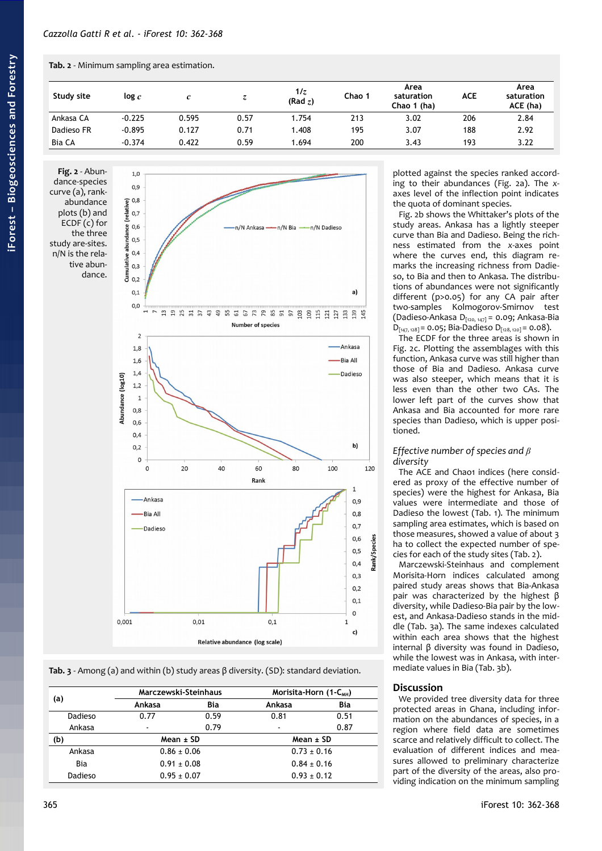### <span id="page-3-0"></span>**Tab. 2** - Minimum sampling area estimation.

| Study site    | log c    | c     |      | 1/z<br>(Rad z) | Chao 1 | Area<br>saturation<br>Chao 1 (ha) | <b>ACE</b> | Area<br>saturation<br>ACE (ha) |
|---------------|----------|-------|------|----------------|--------|-----------------------------------|------------|--------------------------------|
| Ankasa CA     | $-0.225$ | 0.595 | 0.57 | .754           | 213    | 3.02                              | 206        | 2.84                           |
| Dadieso FR    | $-0.895$ | 0.127 | 0.71 | .408           | 195    | 3.07                              | 188        | 2.92                           |
| <b>Bia CA</b> | $-0.374$ | 0.422 | 0.59 | .694           | 200    | 3.43                              | 193        | 3.22                           |

<span id="page-3-2"></span>**Fig. 2** - Abundance-species curve (a), rankabundance plots (b) and ECDF (c) for the three study are-sites. n/N is the relative abundance.



<span id="page-3-1"></span>**Tab. 3** - Among (a) and within (b) study areas β diversity. (SD): standard deviation.

| (a)     | Marczewski-Steinhaus     |      | Morisita-Horn (1-C <sub>MH</sub> ) |      |  |
|---------|--------------------------|------|------------------------------------|------|--|
|         | Ankasa                   | Bia  | Ankasa                             | Bia  |  |
| Dadieso | 0.77                     | 0.59 | 0.81                               | 0.51 |  |
| Ankasa  | $\overline{\phantom{a}}$ | 0.79 | $\blacksquare$                     | 0.87 |  |
| (b)     | Mean ± SD                |      | $Mean \pm SD$                      |      |  |
| Ankasa  | $0.86 \pm 0.06$          |      | $0.73 \pm 0.16$                    |      |  |
| Bia     | $0.91 \pm 0.08$          |      | $0.84 \pm 0.16$                    |      |  |
| Dadieso | $0.95 \pm 0.07$          |      | $0.93 \pm 0.12$                    |      |  |

plotted against the species ranked according to their abundances [\(Fig. 2a](#page-3-2)). The *x*axes level of the inflection point indicates the quota of dominant species.

[Fig. 2b](#page-3-2) shows the Whittaker's plots of the study areas. Ankasa has a lightly steeper curve than Bia and Dadieso. Being the richness estimated from the *x*-axes point where the curves end, this diagram remarks the increasing richness from Dadieso, to Bia and then to Ankasa. The distributions of abundances were not significantly different (p>0.05) for any CA pair after two-samples Kolmogorov-Smirnov test (Dadieso-Ankasa D[120, 147] = 0.09; Ankasa-Bia  $D_{[147, 128]} = 0.05$ ; Bia-Dadieso  $D_{[128, 120]} = 0.08$ ).

The ECDF for the three areas is shown in [Fig. 2c](#page-3-2). Plotting the assemblages with this function, Ankasa curve was still higher than those of Bia and Dadieso. Ankasa curve was also steeper, which means that it is less even than the other two CAs. The lower left part of the curves show that Ankasa and Bia accounted for more rare species than Dadieso, which is upper positioned.

# *Effective number of species and β diversity*

The ACE and Chao1 indices (here considered as proxy of the effective number of species) were the highest for Ankasa, Bia values were intermediate and those of Dadieso the lowest [\(Tab. 1\)](#page-1-0). The minimum sampling area estimates, which is based on those measures, showed a value of about 3 ha to collect the expected number of species for each of the study sites [\(Tab. 2\)](#page-3-0).

Marczewski-Steinhaus and complement Morisita-Horn indices calculated among paired study areas shows that Bia-Ankasa pair was characterized by the highest β diversity, while Dadieso-Bia pair by the lowest, and Ankasa-Dadieso stands in the middle [\(Tab. 3a](#page-3-1)). The same indexes calculated within each area shows that the highest internal β diversity was found in Dadieso, while the lowest was in Ankasa, with intermediate values in Bia [\(Tab. 3b](#page-3-1)).

# **Discussion**

We provided tree diversity data for three protected areas in Ghana, including information on the abundances of species, in a region where field data are sometimes scarce and relatively difficult to collect. The evaluation of different indices and measures allowed to preliminary characterize part of the diversity of the areas, also providing indication on the minimum sampling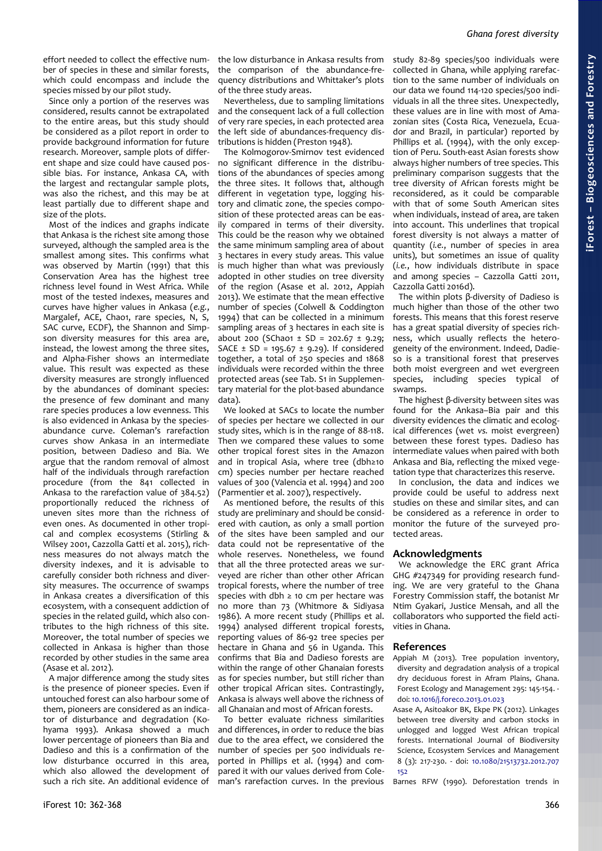effort needed to collect the effective number of species in these and similar forests, which could encompass and include the species missed by our pilot study.

Since only a portion of the reserves was considered, results cannot be extrapolated to the entire areas, but this study should be considered as a pilot report in order to provide background information for future research. Moreover, sample plots of different shape and size could have caused possible bias. For instance, Ankasa CA, with the largest and rectangular sample plots, was also the richest, and this may be at least partially due to different shape and size of the plots.

Most of the indices and graphs indicate that Ankasa is the richest site among those surveyed, although the sampled area is the smallest among sites. This confirms what was observed by Martin (1991) that this Conservation Area has the highest tree richness level found in West Africa. While most of the tested indexes, measures and curves have higher values in Ankasa (*e.g.*, Margalef, ACE, Chao1, rare species, N, S, SAC curve, ECDF), the Shannon and Simpson diversity measures for this area are, instead, the lowest among the three sites, and Alpha-Fisher shows an intermediate value. This result was expected as these diversity measures are strongly influenced by the abundances of dominant species: the presence of few dominant and many rare species produces a low evenness. This is also evidenced in Ankasa by the speciesabundance curve. Coleman's rarefaction curves show Ankasa in an intermediate position, between Dadieso and Bia. We argue that the random removal of almost half of the individuals through rarefaction procedure (from the 841 collected in Ankasa to the rarefaction value of 384.52) proportionally reduced the richness of uneven sites more than the richness of even ones. As documented in other tropical and complex ecosystems (Stirling & Wilsey 2001, Cazzolla Gatti et al. 2015), richness measures do not always match the diversity indexes, and it is advisable to carefully consider both richness and diversity measures. The occurrence of swamps in Ankasa creates a diversification of this ecosystem, with a consequent addiction of species in the related guild, which also contributes to the high richness of this site. Moreover, the total number of species we collected in Ankasa is higher than those recorded by other studies in the same area (Asase et al. 2012).

A major difference among the study sites is the presence of pioneer species. Even if untouched forest can also harbour some of them, pioneers are considered as an indicator of disturbance and degradation (Kohyama 1993). Ankasa showed a much lower percentage of pioneers than Bia and Dadieso and this is a confirmation of the low disturbance occurred in this area, which also allowed the development of such a rich site. An additional evidence of

the low disturbance in Ankasa results from the comparison of the abundance-frequency distributions and Whittaker's plots of the three study areas.

Nevertheless, due to sampling limitations and the consequent lack of a full collection of very rare species, in each protected area the left side of abundances-frequency distributions is hidden (Preston 1948).

The Kolmogorov-Smirnov test evidenced no significant difference in the distributions of the abundances of species among the three sites. It follows that, although different in vegetation type, logging history and climatic zone, the species composition of these protected areas can be easily compared in terms of their diversity. This could be the reason why we obtained the same minimum sampling area of about 3 hectares in every study areas. This value is much higher than what was previously adopted in other studies on tree diversity of the region (Asase et al. 2012, Appiah 2013). We estimate that the mean effective number of species (Colwell & Coddington 1994) that can be collected in a minimum sampling areas of 3 hectares in each site is about 200 (SChao1 ± SD = 202.67 ± 9.29; SACE  $\pm$  SD = 195.67  $\pm$  9.29). If considered together, a total of 250 species and 1868 individuals were recorded within the three protected areas (see Tab. S1 in Supplementary material for the plot-based abundance data).

We looked at SACs to locate the number of species per hectare we collected in our study sites, which is in the range of 88-118. Then we compared these values to some other tropical forest sites in the Amazon and in tropical Asia, where tree (dbh≥10 cm) species number per hectare reached values of 300 (Valencia et al. 1994) and 200 (Parmentier et al. 2007), respectively.

As mentioned before, the results of this study are preliminary and should be considered with caution, as only a small portion of the sites have been sampled and our data could not be representative of the whole reserves. Nonetheless, we found that all the three protected areas we surveyed are richer than other other African tropical forests, where the number of tree species with dbh ≥ 10 cm per hectare was no more than 73 (Whitmore & Sidiyasa 1986). A more recent study (Phillips et al. 1994) analysed different tropical forests, reporting values of 86-92 tree species per hectare in Ghana and 56 in Uganda. This confirms that Bia and Dadieso forests are within the range of other Ghanaian forests as for species number, but still richer than other tropical African sites. Contrastingly, Ankasa is always well above the richness of all Ghanaian and most of African forests.

To better evaluate richness similarities and differences, in order to reduce the bias due to the area effect, we considered the number of species per 500 individuals reported in Phillips et al. (1994) and compared it with our values derived from Coleman's rarefaction curves. In the previous study 82-89 species/500 individuals were collected in Ghana, while applying rarefaction to the same number of individuals on our data we found 114-120 species/500 individuals in all the three sites. Unexpectedly, these values are in line with most of Amazonian sites (Costa Rica, Venezuela, Ecuador and Brazil, in particular) reported by Phillips et al. (1994), with the only exception of Peru. South-east Asian forests show always higher numbers of tree species. This preliminary comparison suggests that the tree diversity of African forests might be reconsidered, as it could be comparable with that of some South American sites when individuals, instead of area, are taken into account. This underlines that tropical forest diversity is not always a matter of quantity (*i.e.*, number of species in area units), but sometimes an issue of quality (*i.e.*, how individuals distribute in space and among species – Cazzolla Gatti 2011, Cazzolla Gatti 2016d).

The within plots β-diversity of Dadieso is much higher than those of the other two forests. This means that this forest reserve has a great spatial diversity of species richness, which usually reflects the heterogeneity of the environment. Indeed, Dadieso is a transitional forest that preserves both moist evergreen and wet evergreen species, including species typical of swamps.

The highest β-diversity between sites was found for the Ankasa–Bia pair and this diversity evidences the climatic and ecological differences (wet *vs.* moist evergreen) between these forest types. Dadieso has intermediate values when paired with both Ankasa and Bia, reflecting the mixed vegetation type that characterizes this reserve.

In conclusion, the data and indices we provide could be useful to address next studies on these and similar sites, and can be considered as a reference in order to monitor the future of the surveyed protected areas.

#### **Acknowledgments**

We acknowledge the ERC grant Africa GHG #247349 for providing research funding. We are very grateful to the Ghana Forestry Commission staff, the botanist Mr Ntim Gyakari, Justice Mensah, and all the collaborators who supported the field activities in Ghana.

#### **References**

- Appiah M (2013). Tree population inventory, diversity and degradation analysis of a tropical dry deciduous forest in Afram Plains, Ghana. Forest Ecology and Management 295: 145-154. doi: [10.1016/j.foreco.2013.01.023](http://dx.doi.org/10.1016/j.foreco.2013.01.023)
- Asase A, Asitoakor BK, Ekpe PK (2012). Linkages between tree diversity and carbon stocks in unlogged and logged West African tropical forests. International Journal of Biodiversity Science, Ecosystem Services and Management 8 (3): 217-230. - doi: [10.1080/21513732.2012.707](http://dx.doi.org/10.1080/21513732.2012.707152) [152](http://dx.doi.org/10.1080/21513732.2012.707152)

Barnes RFW (1990). Deforestation trends in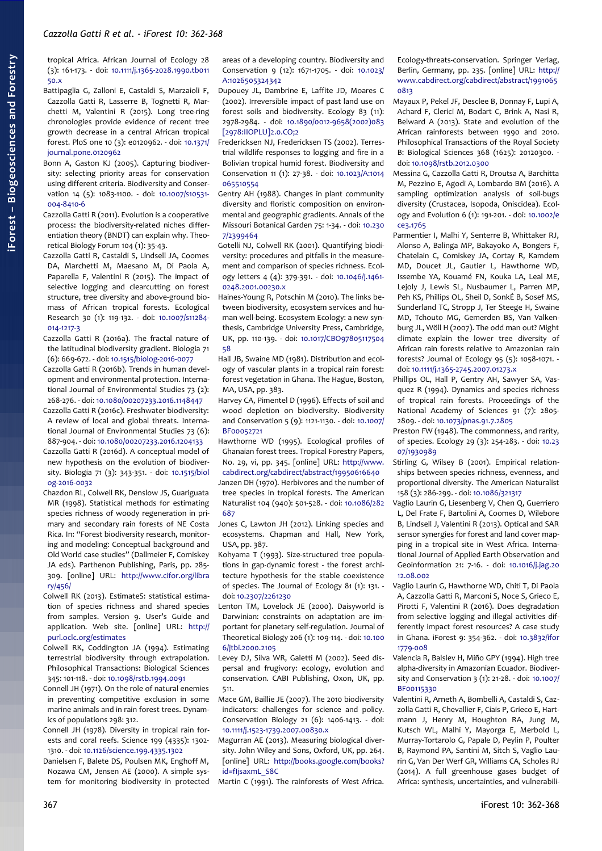tropical Africa. African Journal of Ecology 28 (3): 161-173. - doi: [10.1111/j.1365-2028.1990.tb011](http://dx.doi.org/10.1111/j.1365-2028.1990.tb01150.x) [50.x](http://dx.doi.org/10.1111/j.1365-2028.1990.tb01150.x)

- Battipaglia G, Zalloni E, Castaldi S, Marzaioli F, Cazzolla Gatti R, Lasserre B, Tognetti R, Marchetti M, Valentini R (2015). Long tree-ring chronologies provide evidence of recent tree growth decrease in a central African tropical forest. PloS one 10 (3): e0120962. - doi: [10.1371/](http://dx.doi.org/10.1371/journal.pone.0120962) [journal.pone.0120962](http://dx.doi.org/10.1371/journal.pone.0120962)
- Bonn A, Gaston KJ (2005). Capturing biodiversity: selecting priority areas for conservation using different criteria. Biodiversity and Conser-vation 14 (5): 1083-1100. - doi: [10.1007/s10531-](http://dx.doi.org/10.1007/s10531-004-8410-6) [004-8410-6](http://dx.doi.org/10.1007/s10531-004-8410-6)
- Cazzolla Gatti R (2011). Evolution is a cooperative process: the biodiversity-related niches differentiation theory (BNDT) can explain why. Theoretical Biology Forum 104 (1): 35-43.
- Cazzolla Gatti R, Castaldi S, Lindsell JA, Coomes DA, Marchetti M, Maesano M, Di Paola A, Paparella F, Valentini R (2015). The impact of selective logging and clearcutting on forest structure, tree diversity and above-ground biomass of African tropical forests. Ecological Research 30 (1): 119-132. - doi: [10.1007/s11284-](http://dx.doi.org/10.1007/s11284-014-1217-3) [014-1217-3](http://dx.doi.org/10.1007/s11284-014-1217-3)
- Cazzolla Gatti R (2016a). The fractal nature of the latitudinal biodiversity gradient. Biologia 71 (6): 669-672. - doi: [10.1515/biolog-2016-0077](http://dx.doi.org/10.1515/biolog-2016-0077)
- Cazzolla Gatti R (2016b). Trends in human development and environmental protection. International Journal of Environmental Studies 73 (2): 268-276. - doi: [10.1080/00207233.2016.1148447](http://dx.doi.org/10.1080/00207233.2016.1148447)
- Cazzolla Gatti R (2016c). Freshwater biodiversity: A review of local and global threats. International Journal of Environmental Studies 73 (6): 887-904. - doi: [10.1080/00207233.2016.1204133](http://dx.doi.org/10.1080/00207233.2016.1204133)
- Cazzolla Gatti R (2016d). A conceptual model of new hypothesis on the evolution of biodiversity. Biologia 71 (3): 343-351. - doi: [10.1515/biol](http://dx.doi.org/10.1515/biolog-2016-0032) [og-2016-0032](http://dx.doi.org/10.1515/biolog-2016-0032)
- Chazdon RL, Colwell RK, Denslow JS, Guariguata MR (1998). Statistical methods for estimating species richness of woody regeneration in primary and secondary rain forests of NE Costa Rica. In: "Forest biodiversity research, monitoring and modeling: Conceptual background and Old World case studies" (Dallmeier F, Comiskey JA eds). Parthenon Publishing, Paris, pp. 285- 309. [online] URL: [http://www.cifor.org/libra](http://www.cifor.org/library/456/statistical-methods-for-estimating-species-richness-of-woody-regeneration-in-primary-and-secondary-rain-forests-of-northeastern-costa-rica/) [ry/456/](http://www.cifor.org/library/456/statistical-methods-for-estimating-species-richness-of-woody-regeneration-in-primary-and-secondary-rain-forests-of-northeastern-costa-rica/)
- Colwell RK (2013). EstimateS: statistical estimation of species richness and shared species from samples. Version 9. User's Guide and application. Web site. [online] URL: [http://](http://purl.oclc.org/estimates) [purl.oclc.org/estimates](http://purl.oclc.org/estimates)
- Colwell RK, Coddington JA (1994). Estimating terrestrial biodiversity through extrapolation. Philosophical Transactions: Biological Sciences 345: 101-118. - doi: [10.1098/rstb.1994.0091](http://dx.doi.org/10.1098/rstb.1994.0091)
- Connell JH (1971). On the role of natural enemies in preventing competitive exclusion in some marine animals and in rain forest trees. Dynamics of populations 298: 312.
- Connell JH (1978). Diversity in tropical rain forests and coral reefs. Science 199 (4335): 1302- 1310. - doi: [10.1126/science.199.4335.1302](http://dx.doi.org/10.1126/science.199.4335.1302)
- Danielsen F, Balete DS, Poulsen MK, Enghoff M, Nozawa CM, Jensen AE (2000). A simple system for monitoring biodiversity in protected

areas of a developing country. Biodiversity and Conservation 9 (12): 1671-1705. - doi: [10.1023/](http://dx.doi.org/10.1023/A:1026505324342) [A:1026505324342](http://dx.doi.org/10.1023/A:1026505324342)

- Dupouey JL, Dambrine E, Laffite JD, Moares C (2002). Irreversible impact of past land use on forest soils and biodiversity. Ecology 83 (11): 2978-2984. - doi: [10.1890/0012-9658\(2002\)083](http://dx.doi.org/10.1890/0012-9658(2002)083%5B2978:IIOPLU%5D2.0.CO;2) [\[2978:IIOPLU\]2.0.CO;2](http://dx.doi.org/10.1890/0012-9658(2002)083%5B2978:IIOPLU%5D2.0.CO;2)
- Fredericksen NJ, Fredericksen TS (2002). Terrestrial wildlife responses to logging and fire in a Bolivian tropical humid forest. Biodiversity and Conservation 11 (1): 27-38. - doi: [10.1023/A:1014](http://dx.doi.org/10.1023/A:1014065510554) [065510554](http://dx.doi.org/10.1023/A:1014065510554)
- Gentry AH (1988). Changes in plant community diversity and floristic composition on environmental and geographic gradients. Annals of the Missouri Botanical Garden 75: 1-34. - doi: [10.230](http://dx.doi.org/10.2307/2399464) [7/2399464](http://dx.doi.org/10.2307/2399464)
- Gotelli NJ, Colwell RK (2001). Quantifying biodiversity: procedures and pitfalls in the measurement and comparison of species richness. Ecology letters 4 (4): 379-391. - doi: [10.1046/j.1461-](http://dx.doi.org/10.1046/j.1461-0248.2001.00230.x) [0248.2001.00230.x](http://dx.doi.org/10.1046/j.1461-0248.2001.00230.x)
- Haines-Young R, Potschin M (2010). The links between biodiversity, ecosystem services and human well-being. Ecosystem Ecology: a new synthesis, Cambridge University Press, Cambridge, UK, pp. 110-139. - doi: [10.1017/CBO97805117504](http://dx.doi.org/10.1017/CBO9780511750458) [58](http://dx.doi.org/10.1017/CBO9780511750458)
- Hall JB, Swaine MD (1981). Distribution and ecology of vascular plants in a tropical rain forest: forest vegetation in Ghana. The Hague, Boston, MA, USA, pp. 383.
- Harvey CA, Pimentel D (1996). Effects of soil and wood depletion on biodiversity. Biodiversity and Conservation 5 (9): 1121-1130. - doi: [10.1007/](http://dx.doi.org/10.1007/BF00052721) [BF00052721](http://dx.doi.org/10.1007/BF00052721)
- Hawthorne WD (1995). Ecological profiles of Ghanaian forest trees. Tropical Forestry Papers, No. 29, vi, pp. 345. [online] URL: [http://www.](http://www.cabdirect.org/cabdirect/abstract/19950616640) [cabdirect.org/cabdirect/abstract/19950616640](http://www.cabdirect.org/cabdirect/abstract/19950616640)
- Janzen DH (1970). Herbivores and the number of tree species in tropical forests. The American Naturalist 104 (940): 501-528. - doi: [10.1086/282](http://dx.doi.org/10.1086/282687) [687](http://dx.doi.org/10.1086/282687)
- Jones C, Lawton JH (2012). Linking species and ecosystems. Chapman and Hall, New York, USA, pp. 387.
- Kohyama T (1993). Size-structured tree populations in gap-dynamic forest - the forest architecture hypothesis for the stable coexistence of species. The Journal of Ecology 81 (1): 131. doi: [10.2307/2261230](http://dx.doi.org/10.2307/2261230)
- Lenton TM, Lovelock JE (2000). Daisyworld is Darwinian: constraints on adaptation are important for planetary self-regulation. Journal of Theoretical Biology 206 (1): 109-114. - doi: [10.100](http://dx.doi.org/10.1006/jtbi.2000.2105) [6/jtbi.2000.2105](http://dx.doi.org/10.1006/jtbi.2000.2105)
- Levey DJ, Silva WR, Galetti M (2002). Seed dispersal and frugivory: ecology, evolution and conservation. CABI Publishing, Oxon, UK, pp. 511.
- Mace GM, Baillie JE (2007). The 2010 biodiversity indicators: challenges for science and policy. Conservation Biology 21 (6): 1406-1413. - doi: [10.1111/j.1523-1739.2007.00830.x](http://dx.doi.org/10.1111/j.1523-1739.2007.00830.x)
- Magurran AE (2013). Measuring biological diversity. John Wiley and Sons, Oxford, UK, pp. 264. [online] URL: [http://books.google.com/books?](http://books.google.com/books?id=fIjsaxmL_S8C) [id=fIjsaxmL\\_S8C](http://books.google.com/books?id=fIjsaxmL_S8C)
- Martin C (1991). The rainforests of West Africa.

Ecology-threats-conservation. Springer Verlag, Berlin, Germany, pp. 235. [online] URL: [http://](http://www.cabdirect.org/cabdirect/abstract/19910650813) [www.cabdirect.org/cabdirect/abstract/1991065](http://www.cabdirect.org/cabdirect/abstract/19910650813) [0813](http://www.cabdirect.org/cabdirect/abstract/19910650813)

- Mayaux P, Pekel JF, Desclee B, Donnay F, Lupi A, Achard F, Clerici M, Bodart C, Brink A, Nasi R, Belward A (2013). State and evolution of the African rainforests between 1990 and 2010. Philosophical Transactions of the Royal Society B: Biological Sciences 368 (1625): 20120300. doi: [10.1098/rstb.2012.0300](http://dx.doi.org/10.1098/rstb.2012.0300)
- Messina G, Cazzolla Gatti R, Droutsa A, Barchitta M, Pezzino E, Agodi A, Lombardo BM (2016). A sampling optimization analysis of soil-bugs diversity (Crustacea, Isopoda, Oniscidea). Ecology and Evolution 6 (1): 191-201. - doi: [10.1002/e](http://dx.doi.org/10.1002/ece3.1765) [ce3.1765](http://dx.doi.org/10.1002/ece3.1765)
- Parmentier I, Malhi Y, Senterre B, Whittaker RJ, Alonso A, Balinga MP, Bakayoko A, Bongers F, Chatelain C, Comiskey JA, Cortay R, Kamdem MD, Doucet JL, Gautier L, Hawthorne WD, Issembe YA, Kouamé FN, Kouka LA, Leal ME, Lejoly J, Lewis SL, Nusbaumer L, Parren MP, Peh KS, Phillips OL, Sheil D, SonkÉ B, Sosef MS, Sunderland TC, Stropp J, Ter Steege H, Swaine MD, Tchouto MG, Gemerden BS, Van Valkenburg JL, Wöll H (2007). The odd man out? Might climate explain the lower tree diversity of African rain forests relative to Amazonian rain forests? Journal of Ecology 95 (5): 1058-1071. doi: [10.1111/j.1365-2745.2007.01273.x](http://dx.doi.org/10.1111/j.1365-2745.2007.01273.x)
- Phillips OL, Hall P, Gentry AH, Sawyer SA, Vasquez R (1994). Dynamics and species richness of tropical rain forests. Proceedings of the National Academy of Sciences 91 (7): 2805- 2809. - doi: [10.1073/pnas.91.7.2805](http://dx.doi.org/10.1073/pnas.91.7.2805)
- Preston FW (1948). The commonness, and rarity, of species. Ecology 29 (3): 254-283. - doi: [10.23](http://dx.doi.org/10.2307/1930989) [07/1930989](http://dx.doi.org/10.2307/1930989)
- Stirling G, Wilsey B (2001). Empirical relationships between species richness, evenness, and proportional diversity. The American Naturalist 158 (3): 286-299. - doi: [10.1086/321317](http://dx.doi.org/10.1086/321317)
- Vaglio Laurin G, Liesenberg V, Chen Q, Guerriero L, Del Frate F, Bartolini A, Coomes D, Wilebore B, Lindsell J, Valentini R (2013). Optical and SAR sensor synergies for forest and land cover mapping in a tropical site in West Africa. International Journal of Applied Earth Observation and Geoinformation 21: 7-16. - doi: [10.1016/j.jag.20](http://dx.doi.org/10.1016/j.jag.2012.08.002) [12.08.002](http://dx.doi.org/10.1016/j.jag.2012.08.002)
- Vaglio Laurin G, Hawthorne WD, Chiti T, Di Paola A, Cazzolla Gatti R, Marconi S, Noce S, Grieco E, Pirotti F, Valentini R (2016). Does degradation from selective logging and illegal activities differently impact forest resources? A case study in Ghana. iForest 9: 354-362. - doi: [10.3832/ifor](http://dx.doi.org/10.3832/ifor1779-008) [1779-008](http://dx.doi.org/10.3832/ifor1779-008)
- Valencia R, Balslev H, Miño GPY (1994). High tree alpha-diversity in Amazonian Ecuador. Biodiversity and Conservation 3 (1): 21-28. - doi: [10.1007/](http://dx.doi.org/10.1007/BF00115330) [BF00115330](http://dx.doi.org/10.1007/BF00115330)
- Valentini R, Arneth A, Bombelli A, Castaldi S, Cazzolla Gatti R, Chevallier F, Ciais P, Grieco E, Hartmann J, Henry M, Houghton RA, Jung M, Kutsch WL, Malhi Y, Mayorga E, Merbold L, Murray-Tortarolo G, Papale D, Peylin P, Poulter B, Raymond PA, Santini M, Sitch S, Vaglio Laurin G, Van Der Werf GR, Williams CA, Scholes RJ (2014). A full greenhouse gases budget of Africa: synthesis, uncertainties, and vulnerabili-